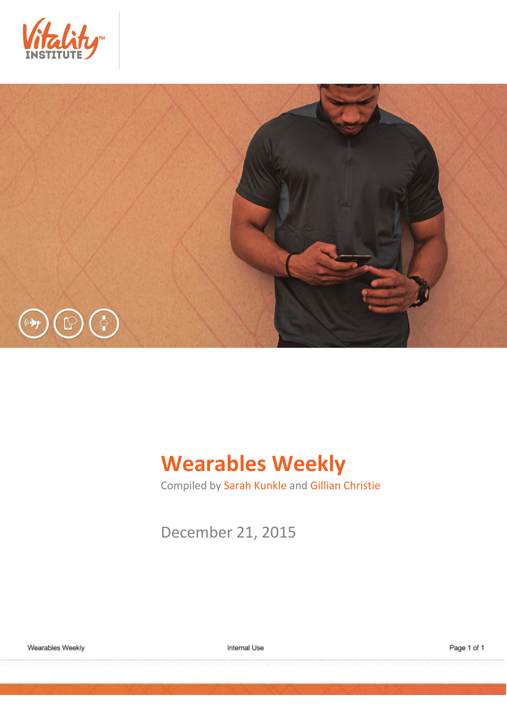



# **Wearables Weekly**

Compiled by Sarah Kunkle and Gillian Christie

December 21, 2015

Internal Use

Page 1 of 1